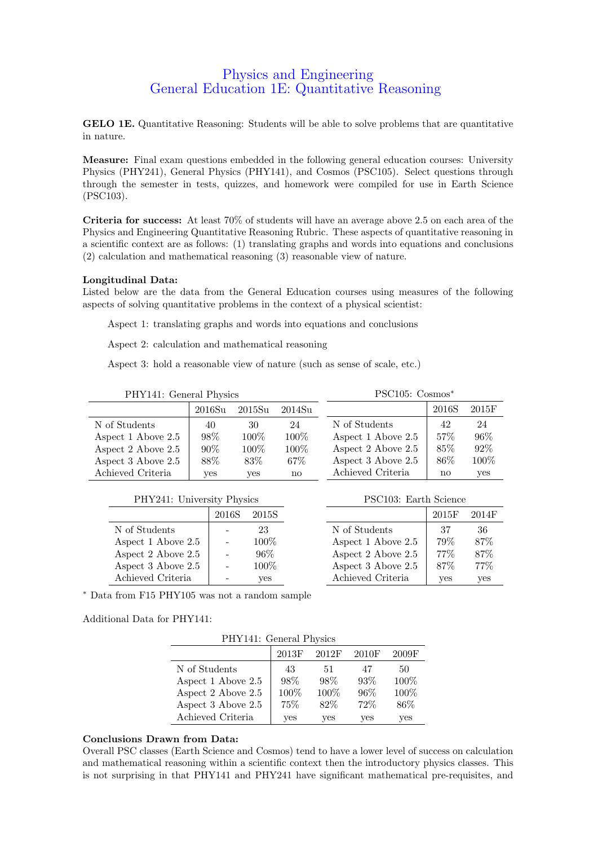## Physics and Engineering General Education 1E: Quantitative Reasoning

GELO 1E. Quantitative Reasoning: Students will be able to solve problems that are quantitative in nature.

Measure: Final exam questions embedded in the following general education courses: University Physics (PHY241), General Physics (PHY141), and Cosmos (PSC105). Select questions through through the semester in tests, quizzes, and homework were compiled for use in Earth Science (PSC103).

Criteria for success: At least 70% of students will have an average above 2.5 on each area of the Physics and Engineering Quantitative Reasoning Rubric. These aspects of quantitative reasoning in a scientific context are as follows: (1) translating graphs and words into equations and conclusions (2) calculation and mathematical reasoning (3) reasonable view of nature.

## Longitudinal Data:

Listed below are the data from the General Education courses using measures of the following aspects of solving quantitative problems in the context of a physical scientist:

Aspect 1: translating graphs and words into equations and conclusions

Aspect 2: calculation and mathematical reasoning

Aspect 3: hold a reasonable view of nature (such as sense of scale, etc.)

| PHY141: General Physics |                    |                    |         | $PSC105: \text{Cosmos}^*$ |                        |        |
|-------------------------|--------------------|--------------------|---------|---------------------------|------------------------|--------|
|                         | 2016S <sub>u</sub> | 2015S <sub>u</sub> | 2014Su  |                           | 2016S                  | 2015F  |
| N of Students           | 40                 | 30                 | 24      | N of Students             | 42                     | 24     |
| Aspect 1 Above 2.5      | $98\%$             | $100\%$            | $100\%$ | Aspect 1 Above 2.5        | $57\%$                 | $96\%$ |
| Aspect 2 Above 2.5      | $90\%$             | $100\%$            | $100\%$ | Aspect 2 Above 2.5        | $85\%$                 | 92\%   |
| Aspect 3 Above 2.5      | 88%                | 83\%               | $67\%$  | Aspect 3 Above 2.5        | 86\%                   | 100\%  |
| Achieved Criteria       | <b>ves</b>         | yes                | no      | Achieved Criteria         | $\mathbf{n}\mathbf{o}$ | yes    |

| PHY241: University Physics |  |
|----------------------------|--|
|                            |  |

|                    | 2016S | 2015S   |
|--------------------|-------|---------|
| N of Students      |       | 23      |
| Aspect 1 Above 2.5 |       | $100\%$ |
| Aspect 2 Above 2.5 |       | 96%     |
| Aspect 3 Above 2.5 |       | $100\%$ |
| Achieved Criteria  |       | es      |

| PSC103: Earth Science    |       |       |
|--------------------------|-------|-------|
|                          | 2015F | 2014F |
| N of Students            | 37    | 36    |
| Aspect 1 Above 2.5       | 79%   | 87%   |
| Aspect 2 Above 2.5       | 77%   | 87%   |
| Aspect $3$ Above $2.5\,$ | 87%   | 77%   |

Achieved Criteria | yes yes

<sup>∗</sup> Data from F15 PHY105 was not a random sample

Additional Data for PHY141:

| PHY141: General Physics |       |       |        |       |
|-------------------------|-------|-------|--------|-------|
|                         | 2013F | 2012F | 2010F  | 2009F |
| N of Students           | 43    | 51    | 47     | 50    |
| Aspect 1 Above 2.5      | 98\%  | 98%   | $93\%$ | 100%  |
| Aspect 2 Above 2.5      | 100\% | 100%  | 96%    | 100%  |
| Aspect 3 Above 2.5      | 75%   | 82\%  | 72%    | 86\%  |
| Achieved Criteria       | ves   | yes   | ves    | yes   |

## Conclusions Drawn from Data:

Overall PSC classes (Earth Science and Cosmos) tend to have a lower level of success on calculation and mathematical reasoning within a scientific context then the introductory physics classes. This is not surprising in that PHY141 and PHY241 have significant mathematical pre-requisites, and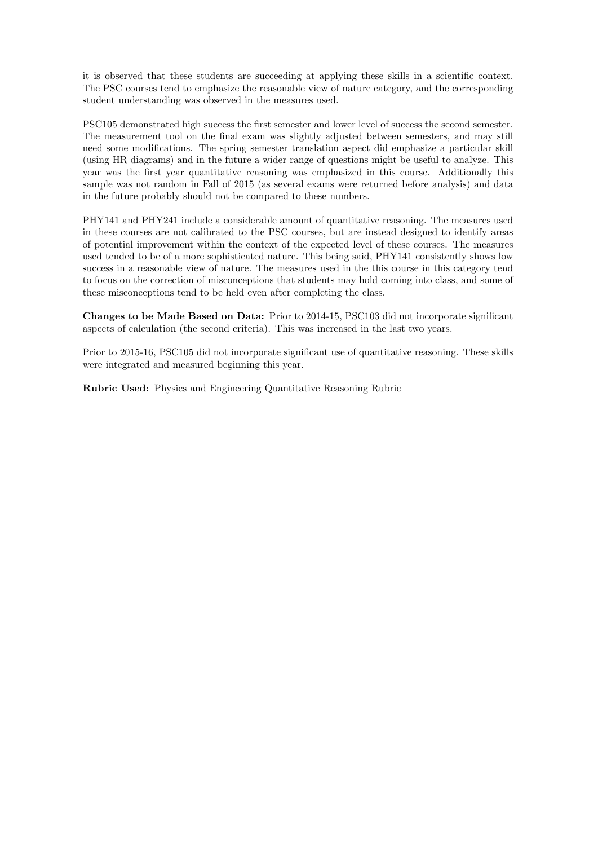it is observed that these students are succeeding at applying these skills in a scientific context. The PSC courses tend to emphasize the reasonable view of nature category, and the corresponding student understanding was observed in the measures used.

PSC105 demonstrated high success the first semester and lower level of success the second semester. The measurement tool on the final exam was slightly adjusted between semesters, and may still need some modifications. The spring semester translation aspect did emphasize a particular skill (using HR diagrams) and in the future a wider range of questions might be useful to analyze. This year was the first year quantitative reasoning was emphasized in this course. Additionally this sample was not random in Fall of 2015 (as several exams were returned before analysis) and data in the future probably should not be compared to these numbers.

PHY141 and PHY241 include a considerable amount of quantitative reasoning. The measures used in these courses are not calibrated to the PSC courses, but are instead designed to identify areas of potential improvement within the context of the expected level of these courses. The measures used tended to be of a more sophisticated nature. This being said, PHY141 consistently shows low success in a reasonable view of nature. The measures used in the this course in this category tend to focus on the correction of misconceptions that students may hold coming into class, and some of these misconceptions tend to be held even after completing the class.

Changes to be Made Based on Data: Prior to 2014-15, PSC103 did not incorporate significant aspects of calculation (the second criteria). This was increased in the last two years.

Prior to 2015-16, PSC105 did not incorporate significant use of quantitative reasoning. These skills were integrated and measured beginning this year.

Rubric Used: Physics and Engineering Quantitative Reasoning Rubric